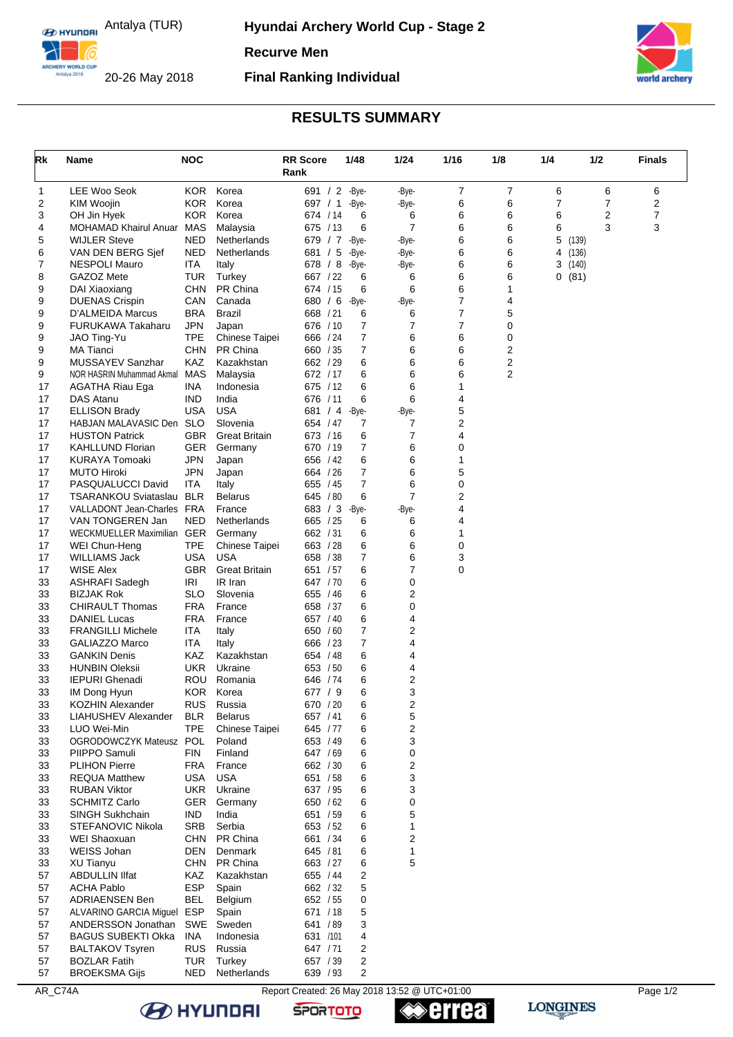**E HYLINDRI** Antalya (TUR)

**Hyundai Archery World Cup - Stage 2** 

**Recurve Men**

ARCHERY WORLD CUF 20-26 May 2018

## **Final Ranking Individual**



## **RESULTS SUMMARY**

| Rk       | Name                                           | <b>NOC</b>               |                      | <b>RR Score</b>      | 1/48       | 1/24           | 1/16   | 1/8    | 1/4            |                 | 1/2 | <b>Finals</b> |
|----------|------------------------------------------------|--------------------------|----------------------|----------------------|------------|----------------|--------|--------|----------------|-----------------|-----|---------------|
|          |                                                |                          |                      | Rank                 |            |                |        |        |                |                 |     |               |
| 1        | <b>LEE Woo Seok</b>                            | KOR.                     | Korea                | 691 / 2              | -Bye-      | -Bye-          | 7      | 7      | 6              |                 | 6   | 6             |
| 2        | KIM Woojin                                     | KOR.                     | Korea                | 697 / 1              | -Bye-      | -Bye-          | 6      | 6      | $\overline{7}$ |                 | 7   | 2             |
| 3        | OH Jin Hyek                                    | KOR.                     | Korea                | 674 / 14             | 6          | 6              | 6      | 6      | 6              |                 | 2   | 7             |
| 4        | MOHAMAD Khairul Anuar MAS                      |                          | Malaysia             | 675 / 13             | 6          | $\overline{7}$ | 6      | 6      | 6              |                 | 3   | 3             |
| 5        | <b>WIJLER Steve</b>                            | <b>NED</b>               | Netherlands          | 679 / 7              | -Bye-      | -Bye-          | 6      | 6      | 5              | (139)           |     |               |
| 6        | VAN DEN BERG Sjef                              | <b>NED</b>               | Netherlands          | 681 / 5              | -Bye-      | -Bye-          | 6      | 6      | 4              | (136)           |     |               |
| 7<br>8   | NESPOLI Mauro<br>GAZOZ Mete                    | ITA<br><b>TUR</b>        | Italy                | 678 / 8<br>667 / 22  | -Bye-<br>6 | -Bye-<br>6     | 6<br>6 | 6<br>6 |                | 3(140)<br>0(81) |     |               |
| 9        | DAI Xiaoxiang                                  | <b>CHN</b>               | Turkey<br>PR China   | 674 / 15             | 6          | 6              | 6      | 1      |                |                 |     |               |
| 9        | <b>DUENAS Crispin</b>                          | CAN                      | Canada               | 680 / 6              | -Bye-      | -Bye-          | 7      | 4      |                |                 |     |               |
| 9        | D'ALMEIDA Marcus                               | <b>BRA</b>               | <b>Brazil</b>        | 668 / 21             | 6          | 6              | 7      | 5      |                |                 |     |               |
| 9        | FURUKAWA Takaharu                              | <b>JPN</b>               | Japan                | 676 / 10             | 7          | $\overline{7}$ | 7      | 0      |                |                 |     |               |
| 9        | JAO Ting-Yu                                    | <b>TPE</b>               | Chinese Taipei       | 666 / 24             | 7          | 6              | 6      | 0      |                |                 |     |               |
| 9        | <b>MA Tianci</b>                               | <b>CHN</b>               | PR China             | 660 / 35             | 7          | 6              | 6      | 2      |                |                 |     |               |
| 9        | MUSSAYEV Sanzhar                               | KAZ                      | Kazakhstan           | 662 / 29             | 6          | 6              | 6      | 2      |                |                 |     |               |
| 9        | NOR HASRIN Muhammad Akmal                      | <b>MAS</b>               | Malaysia             | 672 / 17             | 6          | 6              | 6      | 2      |                |                 |     |               |
| 17       | <b>AGATHA Riau Ega</b>                         | <b>INA</b>               | Indonesia            | 675 / 12             | 6          | 6              | 1      |        |                |                 |     |               |
| 17       | DAS Atanu                                      | <b>IND</b>               | India                | 676 / 11             | 6          | 6              | 4      |        |                |                 |     |               |
| 17       | <b>ELLISON Brady</b>                           | <b>USA</b>               | <b>USA</b>           | 681 / 4              | -Bye-      | -Bye-          | 5      |        |                |                 |     |               |
| 17       | HABJAN MALAVASIC Den SLO                       |                          | Slovenia             | 654 / 47             | 7          | 7              | 2      |        |                |                 |     |               |
| 17       | <b>HUSTON Patrick</b>                          | GBR                      | <b>Great Britain</b> | 673 / 16             | 6          | $\overline{7}$ | 4      |        |                |                 |     |               |
| 17<br>17 | <b>KAHLLUND Florian</b><br>KURAYA Tomoaki      | <b>GER</b><br><b>JPN</b> | Germany<br>Japan     | 670 / 19<br>656 / 42 | 7<br>6     | 6<br>6         | 0<br>1 |        |                |                 |     |               |
| 17       | <b>MUTO Hiroki</b>                             | <b>JPN</b>               | Japan                | 664 / 26             | 7          | 6              | 5      |        |                |                 |     |               |
| 17       | PASQUALUCCI David                              | <b>ITA</b>               | Italy                | 655 / 45             | 7          | 6              | 0      |        |                |                 |     |               |
| 17       | TSARANKOU Sviataslau BLR                       |                          | <b>Belarus</b>       | 645 / 80             | 6          | 7              | 2      |        |                |                 |     |               |
| 17       | VALLADONT Jean-Charles FRA                     |                          | France               | 683 / 3              | -Bye-      | -Bye-          | 4      |        |                |                 |     |               |
| 17       | VAN TONGEREN Jan                               | <b>NED</b>               | Netherlands          | 665 / 25             | 6          | 6              | 4      |        |                |                 |     |               |
| 17       | WECKMUELLER Maximilian GER                     |                          | Germany              | 662 / 31             | 6          | 6              | 1      |        |                |                 |     |               |
| 17       | WEI Chun-Heng                                  | <b>TPE</b>               | Chinese Taipei       | 663 / 28             | 6          | 6              | 0      |        |                |                 |     |               |
| 17       | WILLIAMS Jack                                  | <b>USA</b>               | <b>USA</b>           | 658 / 38             | 7          | 6              | 3      |        |                |                 |     |               |
| 17       | <b>WISE Alex</b>                               | <b>GBR</b>               | <b>Great Britain</b> | 651 / 57             | 6          | 7              | 0      |        |                |                 |     |               |
| 33       | <b>ASHRAFI Sadegh</b>                          | <b>IRI</b>               | IR Iran              | 647 / 70             | 6          | $\pmb{0}$      |        |        |                |                 |     |               |
| 33       | BIZJAK Rok                                     | SLO                      | Slovenia             | 655 / 46             | 6          | 2              |        |        |                |                 |     |               |
| 33       | <b>CHIRAULT Thomas</b>                         | <b>FRA</b><br><b>FRA</b> | France<br>France     | 658 / 37             | 6          | 0<br>4         |        |        |                |                 |     |               |
| 33<br>33 | DANIEL Lucas<br><b>FRANGILLI Michele</b>       | <b>ITA</b>               | Italy                | 657 / 40<br>650 / 60 | 6<br>7     | 2              |        |        |                |                 |     |               |
| 33       | GALIAZZO Marco                                 | ITA                      | Italy                | 666 / 23             | 7          | 4              |        |        |                |                 |     |               |
| 33       | <b>GANKIN Denis</b>                            | KAZ                      | Kazakhstan           | 654 / 48             | 6          | 4              |        |        |                |                 |     |               |
| 33       | HUNBIN Oleksii                                 | <b>UKR</b>               | Ukraine              | 653 / 50             | 6          | 4              |        |        |                |                 |     |               |
| 33       | IEPURI Ghenadi                                 | <b>ROU</b>               | Romania              | 646 / 74             | 6          | 2              |        |        |                |                 |     |               |
| 33       | IM Dong Hyun                                   | KOR.                     | Korea                | 677 / 9              | 6          | 3              |        |        |                |                 |     |               |
| 33       | <b>KOZHIN Alexander</b>                        | <b>RUS</b>               | Russia               | 670 / 20             | 6          | 2              |        |        |                |                 |     |               |
| 33       | <b>LIAHUSHEV Alexander</b>                     | <b>BLR</b>               | <b>Belarus</b>       | 657 / 41             | 6          | 5              |        |        |                |                 |     |               |
| 33       | LUO Wei-Min                                    | <b>TPE</b>               | Chinese Taipei       | 645 / 77             | 6          | 2              |        |        |                |                 |     |               |
| 33       | OGRODOWCZYK Mateusz POL                        |                          | Poland               | 653 / 49             | 6          | 3              |        |        |                |                 |     |               |
| 33       | PIIPPO Samuli                                  | <b>FIN</b>               | Finland              | 647 / 69             | 6          | $\pmb{0}$      |        |        |                |                 |     |               |
| 33       | <b>PLIHON Pierre</b>                           | <b>FRA</b>               | France               | 662 / 30             | 6          | 2              |        |        |                |                 |     |               |
| 33       | <b>REQUA Matthew</b>                           | USA                      | USA                  | 651 / 58             | 6          | 3              |        |        |                |                 |     |               |
| 33       | <b>RUBAN Viktor</b>                            | <b>UKR</b>               | Ukraine              | 637 / 95             | 6          | 3              |        |        |                |                 |     |               |
| 33<br>33 | <b>SCHMITZ Carlo</b><br><b>SINGH Sukhchain</b> | GER<br><b>IND</b>        | Germany<br>India     | 650 / 62<br>651 / 59 | 6<br>6     | 0<br>5         |        |        |                |                 |     |               |
| 33       | STEFANOVIC Nikola                              | <b>SRB</b>               | Serbia               | 653 / 52             | 6          | 1              |        |        |                |                 |     |               |
| 33       | <b>WEI Shaoxuan</b>                            | <b>CHN</b>               | PR China             | 661 / 34             | 6          | 2              |        |        |                |                 |     |               |
| 33       | <b>WEISS Johan</b>                             | DEN                      | Denmark              | 645 / 81             | 6          | 1              |        |        |                |                 |     |               |
| 33       | <b>XU Tianyu</b>                               | <b>CHN</b>               | PR China             | 663 / 27             | 6          | 5              |        |        |                |                 |     |               |
| 57       | <b>ABDULLIN IIfat</b>                          | KAZ                      | Kazakhstan           | 655 / 44             | 2          |                |        |        |                |                 |     |               |
| 57       | <b>ACHA Pablo</b>                              | <b>ESP</b>               | Spain                | 662 / 32             | 5          |                |        |        |                |                 |     |               |
| 57       | <b>ADRIAENSEN Ben</b>                          | <b>BEL</b>               | Belgium              | 652 / 55             | 0          |                |        |        |                |                 |     |               |
| 57       | ALVARINO GARCIA Miguel                         | <b>ESP</b>               | Spain                | 671 / 18             | 5          |                |        |        |                |                 |     |               |
| 57       | ANDERSSON Jonathan                             | SWE                      | Sweden               | 641 / 89             | 3          |                |        |        |                |                 |     |               |
| 57       | BAGUS SUBEKTI Okka                             | INA                      | Indonesia            | 631 /101             | 4          |                |        |        |                |                 |     |               |
| 57       | <b>BALTAKOV Tsyren</b>                         | <b>RUS</b>               | Russia               | 647 / 71             | 2          |                |        |        |                |                 |     |               |
| 57       | <b>BOZLAR Fatih</b>                            | TUR                      | Turkey               | 657 / 39             | 2          |                |        |        |                |                 |     |               |
| 57       | <b>BROEKSMA Gijs</b>                           | <b>NED</b>               | Netherlands          | 639 / 93             | 2          |                |        |        |                |                 |     |               |

AR\_C74A Report Created: 26 May 2018 13:52 @ UTC+01:00 Page 1/2 **B** HYUNDAI **errea** 

**SPORTOTO**